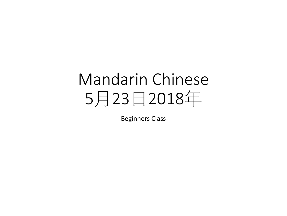# Mandarin Chinese 5月23日2018年

Beginners Class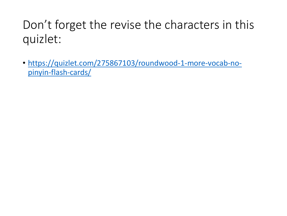## Don't forget the revise the characters in this quizlet:

• [https://quizlet.com/275867103/roundwood-1-more-vocab-no](https://quizlet.com/275867103/roundwood-1-more-vocab-no-pinyin-flash-cards/)pinyin-flash-cards/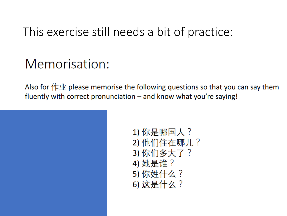#### This exercise still needs a bit of practice:

### Memorisation:

Also for  $f \notin \mathcal{W}$  please memorise the following questions so that you can say them fluently with correct pronunciation  $-$  and know what you're saying!



1) 你是哪国人? 2) 他们住在哪儿? 3) 你们多大了? 4) 她是谁? 5) 你姓什么? 6) 这是什么?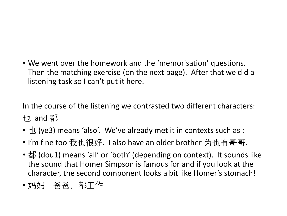• We went over the homework and the 'memorisation' questions. Then the matching exercise (on the next page). After that we did a listening task so I can't put it here.

In the course of the listening we contrasted two different characters: 也 and 都

- $\pm$  (ye3) means 'also'. We've already met it in contexts such as :
- I'm fine too 我也很好. I also have an older brother 为也有哥哥.
- 都 (dou1) means 'all' or 'both' (depending on context). It sounds like the sound that Homer Simpson is famous for and if you look at the character, the second component looks a bit like Homer's stomach!
- 妈妈,爸爸,都工作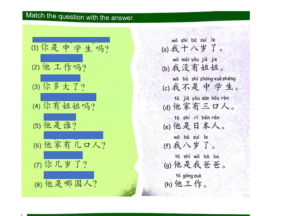#### Match the question with the answer.



wǒ shí bā suì le (a)我十八岁了。 wǒ méi yǒu jiě jie (b) 我没有姐姐。 wǒ bú shì zhōng xué shēng (c)我不是中学生。 tā jiā yǒu sān kǒu rén (d) 他家有三口人。 tā shì rì běn rén (e) 他是日本人。 wǒ bā suì le (f)我八岁了。 tā shì wǒ bà ba (g) 他是我爸爸。 tā gōng zuò (h) 他工作。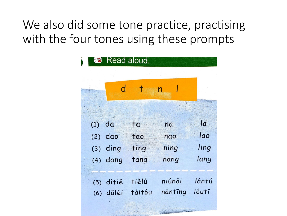We also did some tone practice, practising with the four tones using these prompts

| Read aloud. |            |        |                |                |
|-------------|------------|--------|----------------|----------------|
|             |            |        |                |                |
|             |            |        | $\overline{n}$ |                |
|             |            |        |                |                |
| $(1)$ da    |            | ta     | na             | $\overline{a}$ |
|             | $(2)$ dao  | tao    | nao            | lao            |
|             | $(3)$ ding | ting   | ning           | ling           |
|             | $(4)$ dang | tang   | nang           | lang           |
|             |            |        |                |                |
| (5)         | ditiě      | tiělù  | niúnăi         | lántú          |
|             | (6) dǎléi  | táitóu | nántīng        | lóutī          |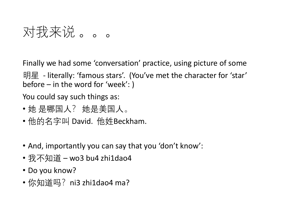对我来说 。。。

Finally we had some 'conversation' practice, using picture of some

明星 - literally: 'famous stars'. (You've met the character for 'star' before – in the word for 'week': )

You could say such things as:

- 她 是哪国人? 她是美国人。
- 他的名字叫 David. 他姓Beckham.
- And, importantly you can say that you 'don't know':
- 我不知道 wo3 bu4 zhi1dao4
- Do you know?
- 你知道吗?ni3 zhi1dao4 ma?